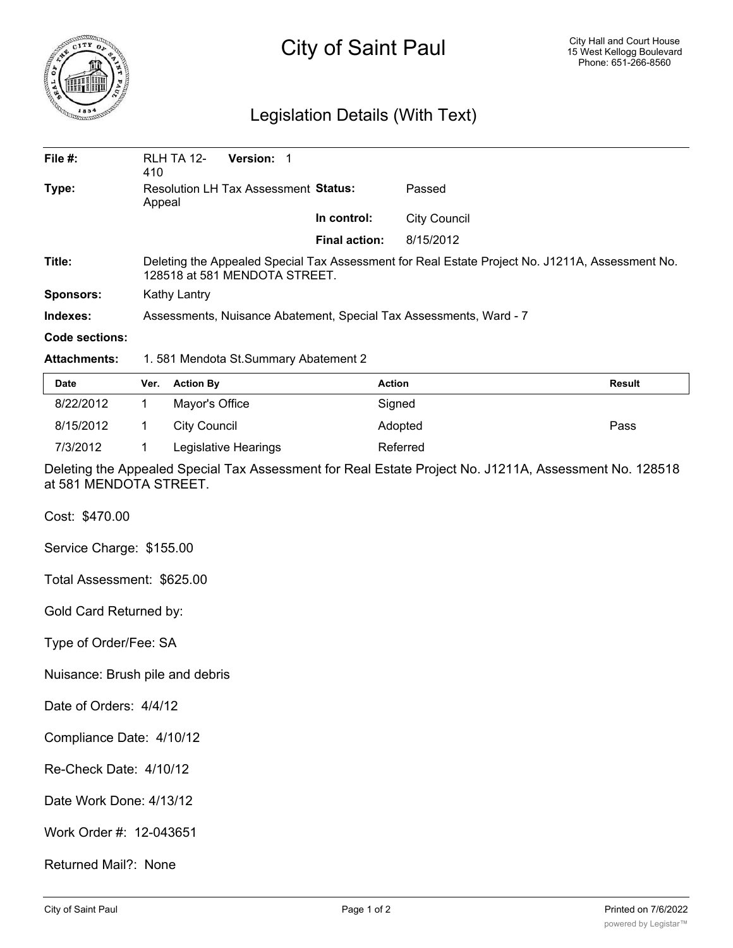

## City of Saint Paul

## Legislation Details (With Text)

| File $#$ :     | <b>RLH TA 12-</b><br>410                                                                                                         | Version: 1 |                      |              |  |  |
|----------------|----------------------------------------------------------------------------------------------------------------------------------|------------|----------------------|--------------|--|--|
| Type:          | Resolution LH Tax Assessment Status:<br>Appeal                                                                                   |            |                      | Passed       |  |  |
|                |                                                                                                                                  |            | In control:          | City Council |  |  |
|                |                                                                                                                                  |            | <b>Final action:</b> | 8/15/2012    |  |  |
| Title:         | Deleting the Appealed Special Tax Assessment for Real Estate Project No. J1211A, Assessment No.<br>128518 at 581 MENDOTA STREET. |            |                      |              |  |  |
| Sponsors:      | Kathy Lantry                                                                                                                     |            |                      |              |  |  |
| Indexes:       | Assessments, Nuisance Abatement, Special Tax Assessments, Ward - 7                                                               |            |                      |              |  |  |
| Code sections: |                                                                                                                                  |            |                      |              |  |  |

## **Attachments:** 1. 581 Mendota St.Summary Abatement 2

| Date      | Ver. Action By       | <b>Action</b> | <b>Result</b> |
|-----------|----------------------|---------------|---------------|
| 8/22/2012 | Mayor's Office       | Signed        |               |
| 8/15/2012 | City Council         | Adopted       | Pass          |
| 7/3/2012  | Legislative Hearings | Referred      |               |

Deleting the Appealed Special Tax Assessment for Real Estate Project No. J1211A, Assessment No. 128518 at 581 MENDOTA STREET.

Cost: \$470.00

Service Charge: \$155.00

Total Assessment: \$625.00

Gold Card Returned by:

Type of Order/Fee: SA

Nuisance: Brush pile and debris

Date of Orders: 4/4/12

Compliance Date: 4/10/12

Re-Check Date: 4/10/12

Date Work Done: 4/13/12

Work Order #: 12-043651

Returned Mail?: None